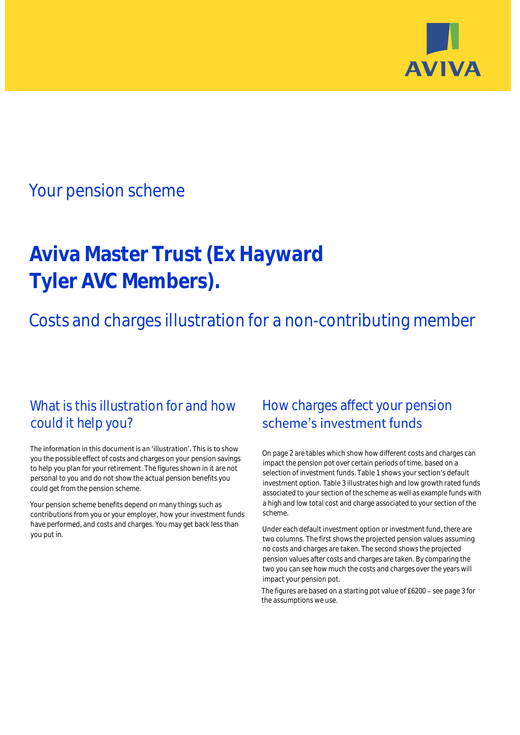

## Your pension scheme

# **Aviva Master Trust (Ex Hayward Tyler AVC Members).**

Costs and charges illustration for a non-contributing member

### What is this illustration for and how could it help you?

#### The information in this document is an 'illustration'. This is to show you the possible effect of costs and charges on your pension savings to help you plan for your retirement. The figures shown in it are not personal to you and do not show the actual pension benefits you could get from the pension scheme.

Your pension scheme benefits depend on many things such as contributions from you or your employer, how your investment funds have performed, and costs and charges. You may get back less than you put in.

### How charges affect your pension scheme's investment funds

On page 2 are tables which show how different costs and charges can impact the pension pot over certain periods of time, based on a selection of investment funds. Table 1 shows your section's default investment option. Table 3 illustrates high and low growth rated funds associated to your section of the scheme as well as example funds with a high and low total cost and charge associated to your section of the scheme.

Under each default investment option or investment fund, there are two columns. The first shows the projected pension values assuming no costs and charges are taken. The second shows the projected pension values after costs and charges are taken. By comparing the two you can see how much the costs and charges over the years will impact your pension pot.

The figures are based on a starting pot value of  $£6200 -$  see page 3 for the assumptions we use.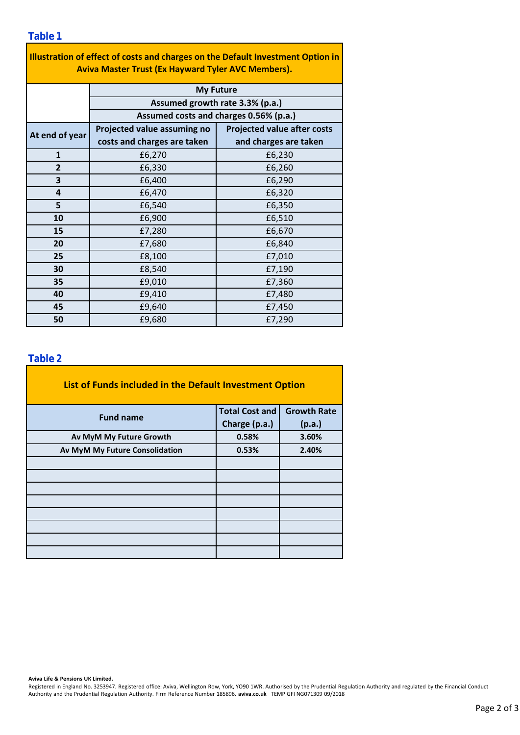| Illustration of effect of costs and charges on the Default Investment Option in |                                        |                                    |  |  |  |  |  |  |  |
|---------------------------------------------------------------------------------|----------------------------------------|------------------------------------|--|--|--|--|--|--|--|
| <b>Aviva Master Trust (Ex Hayward Tyler AVC Members).</b>                       |                                        |                                    |  |  |  |  |  |  |  |
|                                                                                 | <b>My Future</b>                       |                                    |  |  |  |  |  |  |  |
|                                                                                 | Assumed growth rate 3.3% (p.a.)        |                                    |  |  |  |  |  |  |  |
|                                                                                 | Assumed costs and charges 0.56% (p.a.) |                                    |  |  |  |  |  |  |  |
|                                                                                 | Projected value assuming no            | <b>Projected value after costs</b> |  |  |  |  |  |  |  |
| At end of year                                                                  | costs and charges are taken            | and charges are taken              |  |  |  |  |  |  |  |
| $\mathbf{1}$                                                                    | £6,270                                 | £6,230                             |  |  |  |  |  |  |  |
| $\overline{2}$                                                                  | £6,330                                 | £6,260                             |  |  |  |  |  |  |  |
| 3                                                                               | £6,400                                 | £6,290                             |  |  |  |  |  |  |  |
| 4                                                                               | £6,470                                 | £6,320                             |  |  |  |  |  |  |  |
| 5                                                                               | £6,540                                 | £6,350                             |  |  |  |  |  |  |  |
| 10                                                                              | £6,900                                 | £6,510                             |  |  |  |  |  |  |  |
| 15                                                                              | £7,280                                 | £6,670                             |  |  |  |  |  |  |  |
| 20                                                                              | £7,680                                 | £6,840                             |  |  |  |  |  |  |  |
| 25                                                                              | £8,100                                 | £7,010                             |  |  |  |  |  |  |  |
| 30                                                                              | £8,540                                 | £7,190                             |  |  |  |  |  |  |  |
| 35                                                                              | £9,010                                 | £7,360                             |  |  |  |  |  |  |  |
| 40                                                                              | £9,410                                 | £7,480                             |  |  |  |  |  |  |  |
| 45                                                                              | £9,640                                 | £7,450                             |  |  |  |  |  |  |  |
| 50                                                                              | £9,680                                 | £7,290                             |  |  |  |  |  |  |  |

#### **Table 2**

| List of Funds included in the Default Investment Option |                       |                    |  |  |  |  |  |  |
|---------------------------------------------------------|-----------------------|--------------------|--|--|--|--|--|--|
| <b>Fund name</b>                                        | <b>Total Cost and</b> | <b>Growth Rate</b> |  |  |  |  |  |  |
|                                                         | Charge (p.a.)         | (p.a.)             |  |  |  |  |  |  |
| Av MyM My Future Growth                                 | 0.58%                 | 3.60%              |  |  |  |  |  |  |
| Av MyM My Future Consolidation                          | 0.53%                 | 2.40%              |  |  |  |  |  |  |
|                                                         |                       |                    |  |  |  |  |  |  |
|                                                         |                       |                    |  |  |  |  |  |  |
|                                                         |                       |                    |  |  |  |  |  |  |
|                                                         |                       |                    |  |  |  |  |  |  |
|                                                         |                       |                    |  |  |  |  |  |  |
|                                                         |                       |                    |  |  |  |  |  |  |
|                                                         |                       |                    |  |  |  |  |  |  |
|                                                         |                       |                    |  |  |  |  |  |  |

**Aviva Life & Pensions UK Limited.**

Registered in England No. 3253947. Registered office: Aviva, Wellington Row, York, YO90 1WR. Authorised by the Prudential Regulation Authority and regulated by the Financial Conduct Authority and the Prudential Regulation Authority. Firm Reference Number 185896. **aviva.co.uk** TEMP GFI NG071309 09/2018